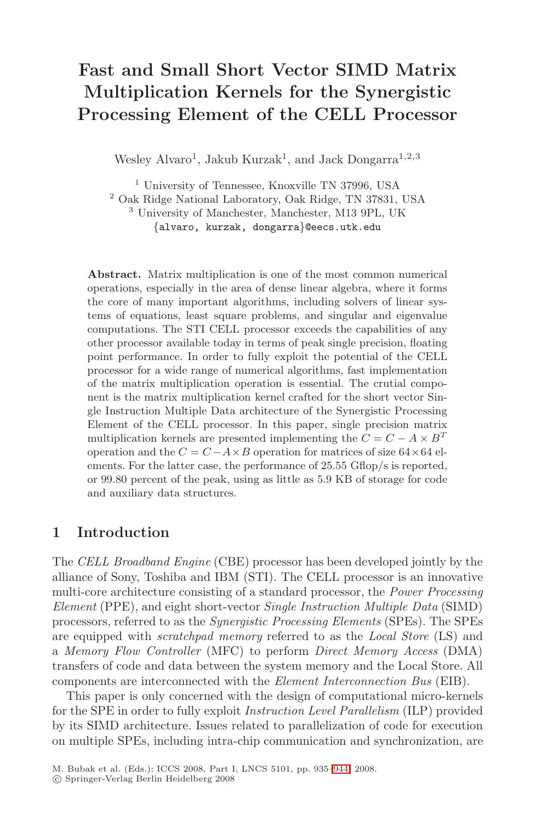# **Fast and Small Short Vector SIMD Matrix Multiplication Kernels for the Synergistic Processing Element of the CELL Processor**

Wesley Alvaro<sup>1</sup>, Jakub Kurzak<sup>1</sup>, and Jack Dongarra<sup>1,2,3</sup>

<sup>1</sup> University of Tennessee, Knoxville TN 37996, USA <sup>2</sup> Oak Ridge National Laboratory, Oak Ridge, TN 37831, USA <sup>3</sup> University of Manchester, Manchester, M13 9PL, UK {alvaro, kurzak, dongarra}@eecs.utk.edu

**Abstract.** Matrix multiplication is one of the most common numerical operations, especially in the area of dense linear algebra, where it forms the core of many important algorithms, including solvers of linear systems of equations, least square problems, and singular and eigenvalue computations. The STI CELL processor exceeds the capabilities of any other processor available today in terms of peak single precision, floating point performance. In order to fully exploit the potential of the CELL processor for a wide range of numerical algorithms, fast implementation of the matrix multiplication operation is essential. The crutial component is the matrix multiplication kernel crafted for the short vector Single Instruction Multiple Data architecture of the Synergistic Processing Element of the CELL processor. In this paper, single precision matrix multiplication kernels are presented implementing the  $C = C - A \times B^{T}$ operation and the  $C = C - A \times B$  operation for matrices of size 64×64 elements. For the latter case, the performance of 25.55 Gflop/s is reported, or 99.80 percent of the peak, using as little as 5.9 KB of storage for code and auxiliary data structures.

# **1 Introduction**

The CELL Broadband Engine (CBE) processor has been developed jointly by the alliance of Sony, Toshiba and IBM (STI). The CELL processor is an innovative multi-core architecture consisting of a standard processor, the Power Processing Element (PPE), and eight short-vector Single Instruction Multiple Data (SIMD) processors, referred to as the Synergistic Processing Elements (SPEs). The SPEs are equipped with scratchpad memory referred to as the Local Store (LS) and a Memory Flow Controller (MFC) to perform Direct Memory Access (DMA) transfers of code and data between the system memory and the Local Store. All components are interconnected with the Element Interconnection Bus (EIB).

This paper is only concerned with the design of computational micro-kernels for the SPE in order to fully exploit Instruction Level Parallelism (ILP) provided by its SIMD architecture. Issues related to parallelization of code for execution on multiple SPEs, including intra-chip communication and synchronization, are

M. Bubak et al. (Eds.): ICCS 2008, Part I, LNCS 5101, pp. 935–944, 2008.

<sup>-</sup>c Springer-Verlag Berlin Heidelberg 2008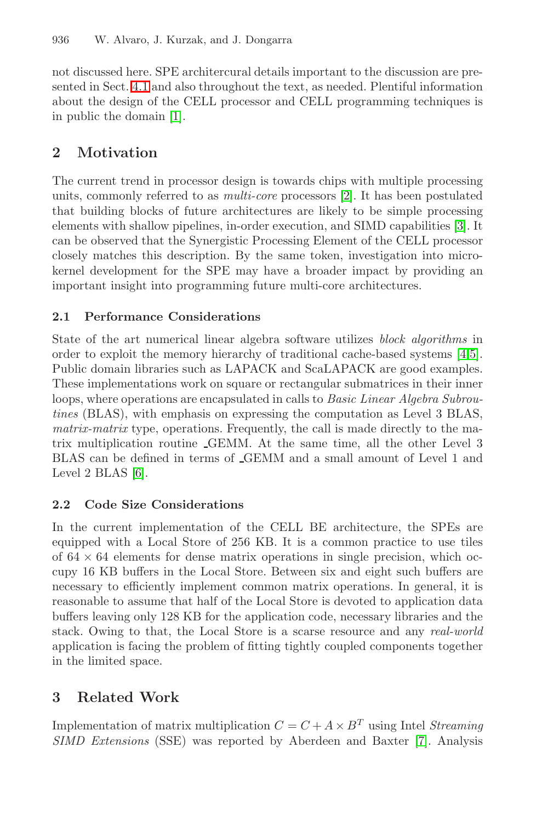not discussed here. SPE architercural details important to the discussion are presented in Sect. 4.1 and also throughout the text, as needed. Plentiful information about the design of the CELL processor and CELL programming techniques is in public the domain [1].

# **2 Motivation**

The current trend in processor design is towards chips with multiple processing units, commonly referred to as multi-core processors [2]. It has been postulated that building blocks of future architectures are likely to be simple processing elements with shallow pipelines, in-order execution, and SIMD capabilities [3]. It can be observed that the Synergistic Processing Element of the CELL processor closely matches this description. By the same token, investigation into microkernel development for the SPE may have a broader impact by providing an important insight into programming future multi-core architectures.

### **2.1 Performance Considerations**

State of the art numerical linear algebra software utilizes block algorithms in order to exploit the memory hierarchy of traditional cache-based systems [4,5]. Public domain libraries such as LAPACK and ScaLAPACK are good examples. These implementations work on square or rectangular submatrices in their inner loops, where operations are encapsulated in calls to Basic Linear Algebra Subroutines (BLAS), with emphasis on expressing the computation as Level 3 BLAS, matrix-matrix type, operations. Frequently, the call is made directly to the matrix multiplication routine GEMM. At the same time, all the other Level 3 BLAS can be defined in terms of GEMM and a small amount of Level 1 and Level 2 BLAS [6].

#### **2.2 Code Size Considerations**

In the current implementation of the CELL BE architecture, the SPEs are equipped with a Local Store of 256 KB. It is a common practice to use tiles of  $64 \times 64$  elements for dense matrix operations in single precision, which occupy 16 KB buffers in the Local Store. Between six and eight such buffers are necessary to efficiently implement common matrix operations. In general, it is reasonable to assume that half of the Local Store is devoted to application data buffers leaving only 128 KB for the application code, necessary libraries and the stack. Owing to that, the Local Store is a scarse resource and any real-world application is facing the problem of fitting tightly coupled components together in the limited space.

# **3 Related Work**

Implementation of matrix multiplication  $C = C + A \times B^{T}$  using Intel Streaming SIMD Extensions (SSE) was reported by Aberdeen and Baxter [7]. Analysis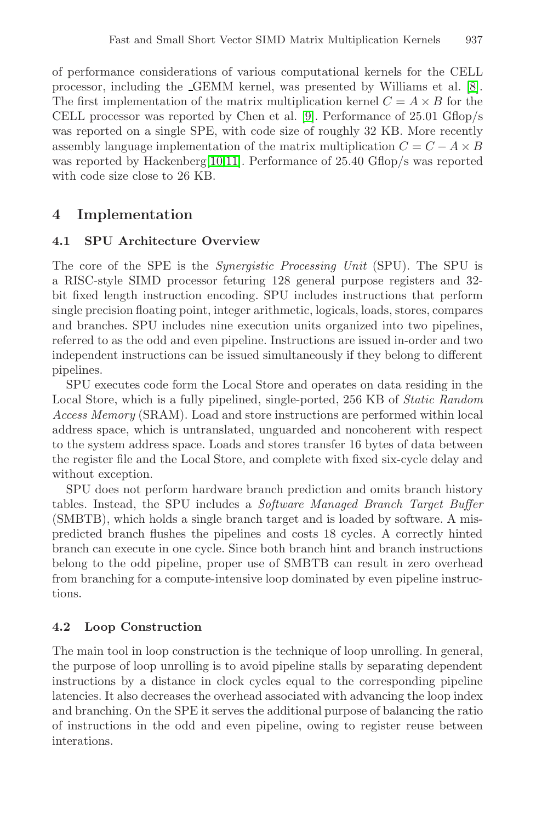of performance considerations of various computational kernels for the CELL processor, including the GEMM kernel, was presented by Williams et al. [8]. The first implementation of the matrix multiplication kernel  $C = A \times B$  for the CELL processor was reported by Chen et al. [9]. Performance of 25.01 Gflop/s was reported on a single SPE, with code size of roughly 32 KB. More recently assembly language implementation of the matrix multiplication  $C = C - A \times B$ was reported by Hackenberg[10,11]. Performance of 25.40 Gflop/s was reported with code size close to 26 KB.

### **4 Implementation**

#### **4.1 SPU Architecture Overview**

The core of the SPE is the Synergistic Processing Unit (SPU). The SPU is a RISC-style SIMD processor feturing 128 general purpose registers and 32 bit fixed length instruction encoding. SPU includes instructions that perform single precision floating point, integer arithmetic, logicals, loads, stores, compares and branches. SPU includes nine execution units organized into two pipelines, referred to as the odd and even pipeline. Instructions are issued in-order and two independent instructions can be issued simultaneously if they belong to different pipelines.

SPU executes code form the Local Store and operates on data residing in the Local Store, which is a fully pipelined, single-ported, 256 KB of Static Random Access Memory (SRAM). Load and store instructions are performed within local address space, which is untranslated, unguarded and noncoherent with respect to the system address space. Loads and stores transfer 16 bytes of data between the register file and the Local Store, and complete with fixed six-cycle delay and without exception.

SPU does not perform hardware branch prediction and omits branch history tables. Instead, the SPU includes a Software Managed Branch Target Buffer (SMBTB), which holds a single branch target and is loaded by software. A mispredicted branch flushes the pipelines and costs 18 cycles. A correctly hinted branch can execute in one cycle. Since both branch hint and branch instructions belong to the odd pipeline, proper use of SMBTB can result in zero overhead from branching for a compute-intensive loop dominated by even pipeline instructions.

#### **4.2 Loop Construction**

The main tool in loop construction is the technique of loop unrolling. In general, the purpose of loop unrolling is to avoid pipeline stalls by separating dependent instructions by a distance in clock cycles equal to the corresponding pipeline latencies. It also decreases the overhead associated with advancing the loop index and branching. On the SPE it serves the additional purpose of balancing the ratio of instructions in the odd and even pipeline, owing to register reuse between interations.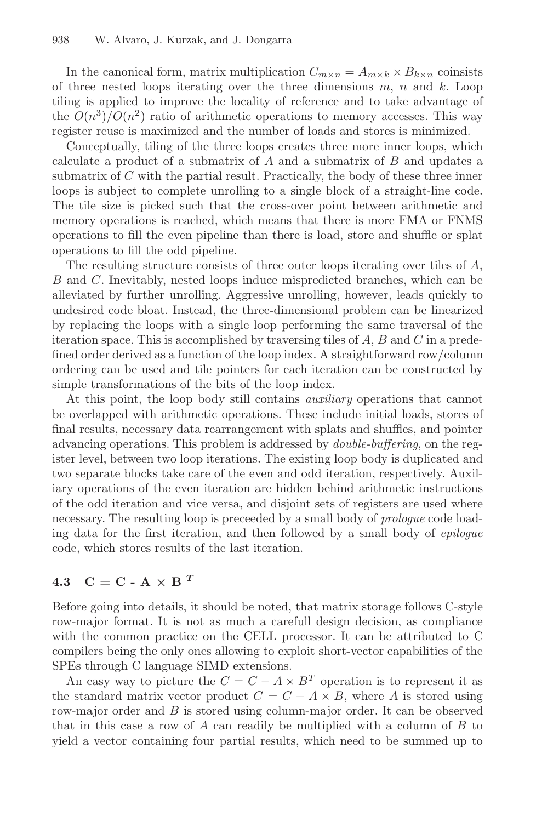In the canonical form, matrix multiplication  $C_{m \times n} = A_{m \times k} \times B_{k \times n}$  coinsists of three nested loops iterating over the three dimensions  $m$ ,  $n$  and  $k$ . Loop tiling is applied to improve the locality of reference and to take advantage of the  $O(n^3)/O(n^2)$  ratio of arithmetic operations to memory accesses. This way register reuse is maximized and the number of loads and stores is minimized.

Conceptually, tiling of the three loops creates three more inner loops, which calculate a product of a submatrix of A and a submatrix of B and updates a submatrix of  $C$  with the partial result. Practically, the body of these three inner loops is subject to complete unrolling to a single block of a straight-line code. The tile size is picked such that the cross-over point between arithmetic and memory operations is reached, which means that there is more FMA or FNMS operations to fill the even pipeline than there is load, store and shuffle or splat operations to fill the odd pipeline.

The resulting structure consists of three outer loops iterating over tiles of A, B and C. Inevitably, nested loops induce mispredicted branches, which can be alleviated by further unrolling. Aggressive unrolling, however, leads quickly to undesired code bloat. Instead, the three-dimensional problem can be linearized by replacing the loops with a single loop performing the same traversal of the iteration space. This is accomplished by traversing tiles of  $A, B$  and  $C$  in a predefined order derived as a function of the loop index. A straightforward row/column ordering can be used and tile pointers for each iteration can be constructed by simple transformations of the bits of the loop index.

At this point, the loop body still contains auxiliary operations that cannot be overlapped with arithmetic operations. These include initial loads, stores of final results, necessary data rearrangement with splats and shuffles, and pointer advancing operations. This problem is addressed by double-buffering, on the register level, between two loop iterations. The existing loop body is duplicated and two separate blocks take care of the even and odd iteration, respectively. Auxiliary operations of the even iteration are hidden behind arithmetic instructions of the odd iteration and vice versa, and disjoint sets of registers are used where necessary. The resulting loop is preceeded by a small body of *prologue* code loading data for the first iteration, and then followed by a small body of epilogue code, which stores results of the last iteration.

## 4.3 C = C - A  $\times$  B <sup>T</sup>

Before going into details, it should be noted, that matrix storage follows C-style row-major format. It is not as much a carefull design decision, as compliance with the common practice on the CELL processor. It can be attributed to C compilers being the only ones allowing to exploit short-vector capabilities of the SPEs through C language SIMD extensions.

An easy way to picture the  $C = C - A \times B^T$  operation is to represent it as the standard matrix vector product  $C = C - A \times B$ , where A is stored using row-major order and B is stored using column-major order. It can be observed that in this case a row of  $A$  can readily be multiplied with a column of  $B$  to yield a vector containing four partial results, which need to be summed up to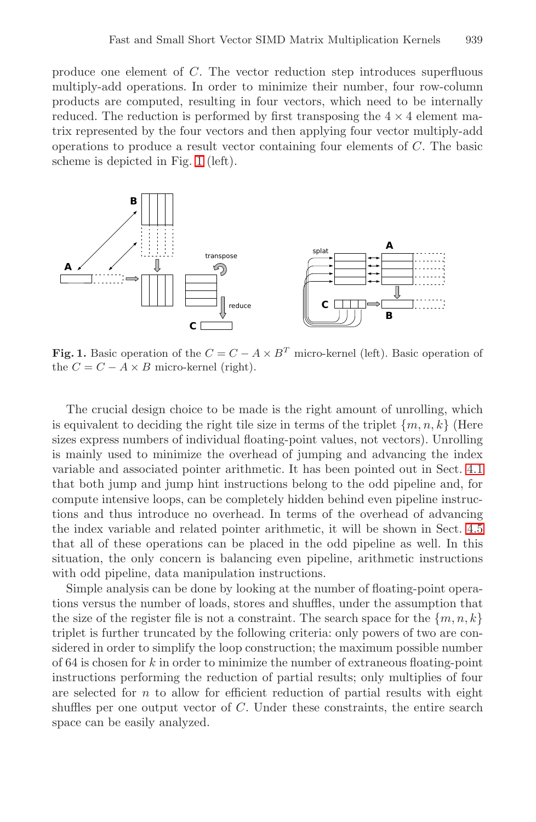produce one element of C. The vector reduction step introduces superfluous multiply-add operations. In order to minimize their number, four row-column products are computed, resulting in four vectors, which need to be internally reduced. The reduction is performed by first transposing the  $4 \times 4$  element matrix represented by the four vectors and then applying four vector multiply-add operations to produce a result vector containing four elements of C. The basic scheme is depicted in Fig. 1 (left).



**Fig. 1.** Basic operation of the  $C = C - A \times B^T$  micro-kernel (left). Basic operation of the  $C = C - A \times B$  micro-kernel (right).

The crucial design choice to be made is the right amount of unrolling, which is equivalent to deciding the right tile size in terms of the triplet  ${m,n,k}$  (Here sizes express numbers of individual floating-point values, not vectors). Unrolling is mainly used to minimize the overhead of jumping and advancing the index variable and associated pointer arithmetic. It has been pointed out in Sect. 4.1 that both jump and jump hint instructions belong to the odd pipeline and, for compute intensive loops, can be completely hidden behind even pipeline instructions and thus introduce no overhead. In terms of the overhead of advancing the index variable and related pointer arithmetic, it will be shown in Sect. 4.5 that all of these operations can be placed in the odd pipeline as well. In this situation, the only concern is balancing even pipeline, arithmetic instructions with odd pipeline, data manipulation instructions.

Simple analysis can be done by looking at the number of floating-point operations versus the number of loads, stores and shuffles, under the assumption that the size of the register file is not a constraint. The search space for the  ${m,n,k}$ triplet is further truncated by the following criteria: only powers of two are considered in order to simplify the loop construction; the maximum possible number of 64 is chosen for  $k$  in order to minimize the number of extraneous floating-point instructions performing the reduction of partial results; only multiplies of four are selected for  $n$  to allow for efficient reduction of partial results with eight shuffles per one output vector of C. Under these constraints, the entire search space can be easily analyzed.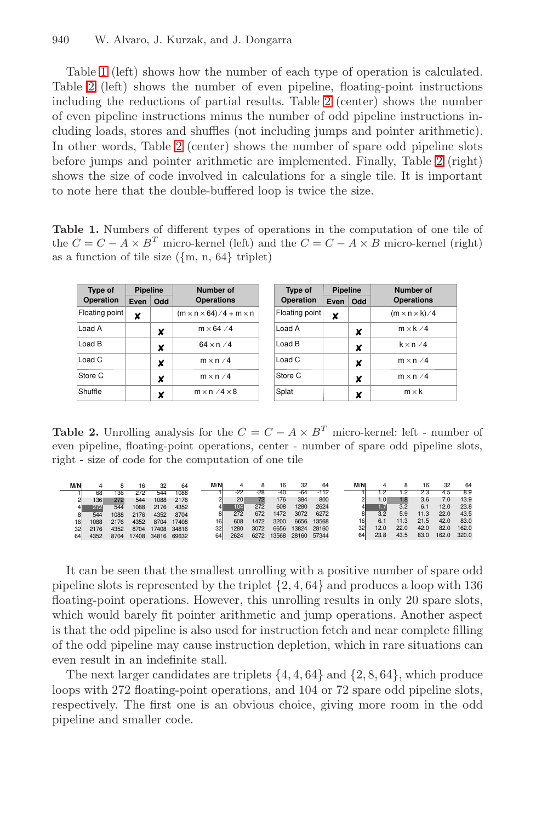#### 940 W. Alvaro, J. Kurzak, and J. Dongarra

Table 1 (left) shows how the number of each type of operation is calculated. Table 2 (left) shows the number of even pipeline, floating-point instructions including the reductions of partial results. Table 2 (center) shows the number of even pipeline instructions minus the number of odd pipeline instructions including loads, stores and shuffles (not including jumps and pointer arithmetic). In other words, Table 2 (center) shows the number of spare odd pipeline slots before jumps and pointer arithmetic are implemented. Finally, Table 2 (right) shows the size of code involved in calculations for a single tile. It is important to note here that the double-buffered loop is twice the size.

**Table 1.** Numbers of different types of operations in the computation of one tile of the  $C = C - A \times B^T$  micro-kernel (left) and the  $C = C - A \times B$  micro-kernel (right) as a function of tile size  $({m, n, 64}$  triplet)

| Type of        | <b>Pipeline</b> |     | Number of                               | Type of        | <b>Pipeline</b> |     |  |
|----------------|-----------------|-----|-----------------------------------------|----------------|-----------------|-----|--|
| Operation      | Even            | Odd | <b>Operations</b>                       | Operation      | Even            | Odd |  |
| Floating point | ×               |     | $(m \times n \times 64)/4 + m \times n$ | Floating point | x               |     |  |
| Load A         |                 | x   | $m \times 64 / 4$                       | Load A         |                 | x   |  |
| Load B         |                 | x   | $64 \times n / 4$                       | Load B         |                 | ×   |  |
| Load C         |                 | x   | $m \times n$ /4                         | Load C         |                 | x   |  |
| Store C        |                 | x   | $m \times n$ /4                         | Store C        |                 | x   |  |
| Shuffle        |                 | X   | $m \times n / 4 \times 8$               | Splat          |                 | ×   |  |

**Table 2.** Unrolling analysis for the  $C = C - A \times B^T$  micro-kernel: left - number of even pipeline, floating-point operations, center - number of spare odd pipeline slots, right - size of code for the computation of one tile

| M/N |      |      | 16    | 32    | 64    | M/N |      |       | 16    | 32    | 64     | M/N |        |      | 16   | 32    | 64    |
|-----|------|------|-------|-------|-------|-----|------|-------|-------|-------|--------|-----|--------|------|------|-------|-------|
|     | 68   | 136  | 272   | 544   | 1088  |     | -22  | $-28$ | $-40$ | $-64$ | $-112$ |     |        |      | 2.3  | 4.5   | 8.9   |
|     | 136  | 272  | 544   | 1088  | 2176  |     | 20   | 72    | 176   | 384   | 800    |     | $.0^r$ | 4.8  | 3.6  | 7.0   | 13.9  |
|     | 272  | 544  | 1088  | 2176  | 4352  |     | 104  | 272   | 608   | 1280  | 2624   |     |        | 3.2  | 6.1  | 12.0  | 23.8  |
|     | 544  | 1088 | 2176  | 4352  | 8704  |     | 272  | 672   | 1472  | 3072  | 6272   |     | 3.2    | 5.9  | 11.3 | 22.0  | 43.5  |
| 16  | 1088 | 2176 | 4352  | 8704  | 17408 | 161 | 608  | 1472  | 3200  | 6656  | 13568  | 161 | 6.1    | 11.3 | 21.5 | 42.0  | 83.0  |
| 32  | 2176 | 4352 | 8704  | 17408 | 34816 | 32  | 1280 | 3072  | 6656  | 13824 | 28160  | 32  | 12.0   | 22.0 | 42.0 | 82.0  | 162.0 |
| 64  | 4352 | 8704 | 17408 | 34816 | 69632 | 64  | 2624 | 6272  | 13568 | 28160 | 57344  | 64  | 23.8   | 43.5 | 83.0 | 162.0 | 320.0 |

It can be seen that the smallest unrolling with a positive number of spare odd pipeline slots is represented by the triplet {2, 4, 64} and produces a loop with 136 floating-point operations. However, this unrolling results in only 20 spare slots, which would barely fit pointer arithmetic and jump operations. Another aspect is that the odd pipeline is also used for instruction fetch and near complete filling of the odd pipeline may cause instruction depletion, which in rare situations can even result in an indefinite stall.

The next larger candidates are triplets  $\{4, 4, 64\}$  and  $\{2, 8, 64\}$ , which produce loops with 272 floating-point operations, and 104 or 72 spare odd pipeline slots, respectively. The first one is an obvious choice, giving more room in the odd pipeline and smaller code.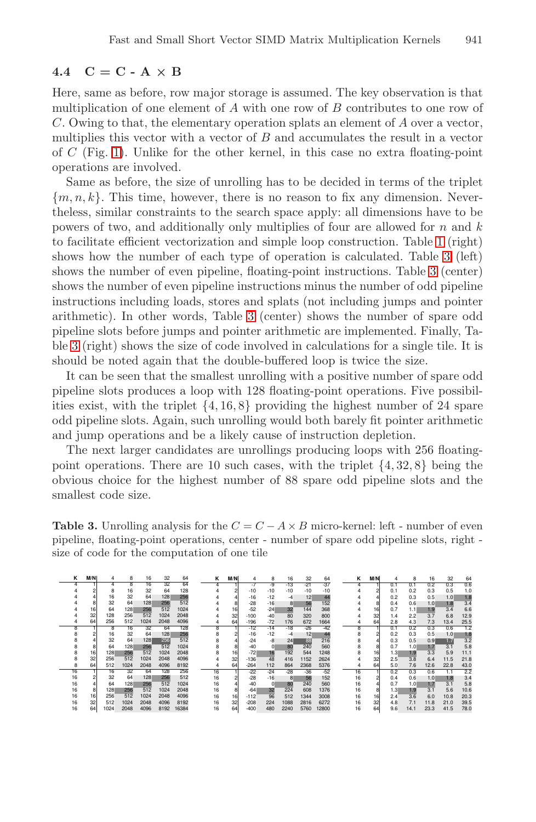#### 4.4  $C = C - A \times B$

Here, same as before, row major storage is assumed. The key observation is that multiplication of one element of A with one row of B contributes to one row of C. Owing to that, the elementary operation splats an element of A over a vector, multiplies this vector with a vector of  $B$  and accumulates the result in a vector of  $C$  (Fig. 1). Unlike for the other kernel, in this case no extra floating-point operations are involved.

Same as before, the size of unrolling has to be decided in terms of the triplet  $\{m,n,k\}$ . This time, however, there is no reason to fix any dimension. Nevertheless, similar constraints to the search space apply: all dimensions have to be powers of two, and additionally only multiplies of four are allowed for  $n$  and  $k$ to facilitate efficient vectorization and simple loop construction. Table 1 (right) shows how the number of each type of operation is calculated. Table 3 (left) shows the number of even pipeline, floating-point instructions. Table 3 (center) shows the number of even pipeline instructions minus the number of odd pipeline instructions including loads, stores and splats (not including jumps and pointer arithmetic). In other words, Table 3 (center) shows the number of spare odd pipeline slots before jumps and pointer arithmetic are implemented. Finally, Table 3 (right) shows the size of code involved in calculations for a single tile. It is should be noted again that the double-buffered loop is twice the size.

It can be seen that the smallest unrolling with a positive number of spare odd pipeline slots produces a loop with 128 floating-point operations. Five possibilities exist, with the triplet {4, 16, 8} providing the highest number of 24 spare odd pipeline slots. Again, such unrolling would both barely fit pointer arithmetic and jump operations and be a likely cause of instruction depletion.

The next larger candidates are unrollings producing loops with 256 floatingpoint operations. There are 10 such cases, with the triplet  $\{4, 32, 8\}$  being the obvious choice for the highest number of 88 spare odd pipeline slots and the smallest code size.

**Table 3.** Unrolling analysis for the  $C = C - A \times B$  micro-kernel: left - number of even pipeline, floating-point operations, center - number of spare odd pipeline slots, right size of code for the computation of one tile

| 64<br>32<br>$-37$<br>16<br>0.6<br>4<br>৪<br>$-21$<br>-7<br>$-13$<br>0.3<br>0.2<br>$-9$<br>0.1<br>0.1<br>32<br>128<br>0.3<br>0.5<br>1.0<br>8<br>64<br>$-10$<br>$-10$<br>0.2<br>16<br>$-10$<br>$-10$<br>0.1<br>$-10$<br>128<br>256<br>1.8<br>32<br>16<br>64<br>$-12$<br>12<br>0.2<br>0.3<br>0.5<br>1.0<br>$-16$<br>44<br>-4<br>512<br>128<br>256<br>32<br>64<br>56<br>152<br>3.4<br>8<br>$-16$<br>0.6<br>1.8<br>$-28$<br>1.0<br>0.4<br>512<br>128<br>256<br>1024<br>16<br>64<br>32<br>144<br>3.4<br>6.6<br>$-52$<br>368<br>0.7<br>16<br>$-24$<br>16<br>1.1<br>1.9<br>80<br>512<br>32<br>3.7<br>6.8<br>12.9<br>32<br>256<br>1024<br>32<br>320<br>800<br>2.2<br>128<br>2048<br>$-100$<br>1.4<br>$-40$<br>25.5<br>2048<br>4096<br>$-72$<br>176<br>672<br>7.3<br>256<br>512<br>1024<br>64<br>1664<br>2.8<br>4.3<br>13.4<br>$-196$<br>64<br>64<br>128<br>32<br>16<br>64<br>$-26$<br>8<br>0.6<br>1.2<br>$-12$<br>$-18$<br>$-42$<br>0.2<br>0.3<br>$-14$<br>0.1<br>R<br>1.8<br>128<br>256<br>32<br>64<br>12<br>44<br>1.0<br>16<br>$-16$<br>$-12$<br>0.3<br>0.5<br>0.2<br>8<br>8<br>-4<br>256<br>512<br>88<br>216<br>3.2<br>32<br>128<br>64<br>$-24$<br>24<br>0.3<br>0.5<br>0.9<br>1.7<br>-8<br>512<br>256<br>1024<br>8<br>128<br>64<br>3.1<br>5.8<br>240<br>560<br>80<br>1.7<br>0.7<br>1.0<br>$-40$<br>O<br>256<br>1024<br>192<br>5.9<br>512<br>2048<br>16<br>$-72$<br>3.3<br>16<br>128<br>544<br>1248<br>16<br>1.3<br>11.1<br>8<br>16<br>1.9<br>512<br>2048<br>32<br>32<br>32<br>256<br>1024<br>4096<br>48<br>1152<br>3.8<br>11.5<br>21.8<br>8<br>416<br>2624<br>2.5<br>$-136$<br>6.4<br>2048<br>4096<br>64<br>512<br>1024<br>8192<br>8<br>$-264$<br>864<br>2368<br>5376<br>7.6<br>12.6<br>22.8<br>43.0<br>64<br>64<br>5.0<br>112<br>256<br>16<br>32<br>128<br>$-52$<br>2.2<br>16<br>64<br>-22<br>$-24$<br>$-28$<br>-36<br>16<br>16<br>0.2<br>0.3<br>0.6<br>1.1<br>512<br>3.4<br>256<br>16<br>56<br>152<br>16<br>32<br>64<br>128<br>$-28$<br>16<br>$-16$<br>8<br>0.6<br>1.0<br>1.8<br>0.4<br>512<br>3.1<br>16<br>256<br>240<br>5.8<br>16<br>80<br>560<br>16<br>0.7<br>64<br>128<br>1024<br>$-40$<br>O<br>1.0<br>1.7<br>1024<br>16<br>256<br>512<br>2048<br>128<br>32<br>224<br>5.6<br>608<br>10.6<br>16<br>1376<br>16<br>3.1<br>8<br>$-64$<br>1.9<br>1.3<br>96<br>3.6<br>20.3<br>16<br>512<br>2048<br>4096<br>512<br>256<br>1024<br>16<br>16<br>1344<br>3008<br>16<br>6.0<br>10.8<br>16<br>$-112$<br>16<br>2.4<br>16<br>32<br>32<br>39.5<br>32<br>1024<br>2048<br>4096<br>8192<br>16<br>$-208$<br>224<br>1088<br>6272<br>16<br>7.1<br>512<br>2816<br>4.8<br>11.8<br>21.0 | κ  | M/N | 4    | 8    | 16   | 32   | 64    | κ  | M/N |        | 8   | 16   | 32   | 64    | κ  | M/N |     | 8    | 16   | 32   | 64   |
|-----------------------------------------------------------------------------------------------------------------------------------------------------------------------------------------------------------------------------------------------------------------------------------------------------------------------------------------------------------------------------------------------------------------------------------------------------------------------------------------------------------------------------------------------------------------------------------------------------------------------------------------------------------------------------------------------------------------------------------------------------------------------------------------------------------------------------------------------------------------------------------------------------------------------------------------------------------------------------------------------------------------------------------------------------------------------------------------------------------------------------------------------------------------------------------------------------------------------------------------------------------------------------------------------------------------------------------------------------------------------------------------------------------------------------------------------------------------------------------------------------------------------------------------------------------------------------------------------------------------------------------------------------------------------------------------------------------------------------------------------------------------------------------------------------------------------------------------------------------------------------------------------------------------------------------------------------------------------------------------------------------------------------------------------------------------------------------------------------------------------------------------------------------------------------------------------------------------------------------------------------------------------------------------------------------------------------------------------------------------------------------------------------------------------------------------------------------------------------------------------------------------------------------------------------------------|----|-----|------|------|------|------|-------|----|-----|--------|-----|------|------|-------|----|-----|-----|------|------|------|------|
|                                                                                                                                                                                                                                                                                                                                                                                                                                                                                                                                                                                                                                                                                                                                                                                                                                                                                                                                                                                                                                                                                                                                                                                                                                                                                                                                                                                                                                                                                                                                                                                                                                                                                                                                                                                                                                                                                                                                                                                                                                                                                                                                                                                                                                                                                                                                                                                                                                                                                                                                                                 |    |     |      |      |      |      |       |    |     |        |     |      |      |       |    |     |     |      |      |      |      |
|                                                                                                                                                                                                                                                                                                                                                                                                                                                                                                                                                                                                                                                                                                                                                                                                                                                                                                                                                                                                                                                                                                                                                                                                                                                                                                                                                                                                                                                                                                                                                                                                                                                                                                                                                                                                                                                                                                                                                                                                                                                                                                                                                                                                                                                                                                                                                                                                                                                                                                                                                                 |    |     |      |      |      |      |       |    |     |        |     |      |      |       |    |     |     |      |      |      |      |
|                                                                                                                                                                                                                                                                                                                                                                                                                                                                                                                                                                                                                                                                                                                                                                                                                                                                                                                                                                                                                                                                                                                                                                                                                                                                                                                                                                                                                                                                                                                                                                                                                                                                                                                                                                                                                                                                                                                                                                                                                                                                                                                                                                                                                                                                                                                                                                                                                                                                                                                                                                 |    |     |      |      |      |      |       |    |     |        |     |      |      |       |    |     |     |      |      |      |      |
|                                                                                                                                                                                                                                                                                                                                                                                                                                                                                                                                                                                                                                                                                                                                                                                                                                                                                                                                                                                                                                                                                                                                                                                                                                                                                                                                                                                                                                                                                                                                                                                                                                                                                                                                                                                                                                                                                                                                                                                                                                                                                                                                                                                                                                                                                                                                                                                                                                                                                                                                                                 |    |     |      |      |      |      |       |    |     |        |     |      |      |       |    |     |     |      |      |      |      |
|                                                                                                                                                                                                                                                                                                                                                                                                                                                                                                                                                                                                                                                                                                                                                                                                                                                                                                                                                                                                                                                                                                                                                                                                                                                                                                                                                                                                                                                                                                                                                                                                                                                                                                                                                                                                                                                                                                                                                                                                                                                                                                                                                                                                                                                                                                                                                                                                                                                                                                                                                                 |    |     |      |      |      |      |       |    |     |        |     |      |      |       |    |     |     |      |      |      |      |
|                                                                                                                                                                                                                                                                                                                                                                                                                                                                                                                                                                                                                                                                                                                                                                                                                                                                                                                                                                                                                                                                                                                                                                                                                                                                                                                                                                                                                                                                                                                                                                                                                                                                                                                                                                                                                                                                                                                                                                                                                                                                                                                                                                                                                                                                                                                                                                                                                                                                                                                                                                 |    |     |      |      |      |      |       |    |     |        |     |      |      |       |    |     |     |      |      |      |      |
|                                                                                                                                                                                                                                                                                                                                                                                                                                                                                                                                                                                                                                                                                                                                                                                                                                                                                                                                                                                                                                                                                                                                                                                                                                                                                                                                                                                                                                                                                                                                                                                                                                                                                                                                                                                                                                                                                                                                                                                                                                                                                                                                                                                                                                                                                                                                                                                                                                                                                                                                                                 |    |     |      |      |      |      |       |    |     |        |     |      |      |       |    |     |     |      |      |      |      |
|                                                                                                                                                                                                                                                                                                                                                                                                                                                                                                                                                                                                                                                                                                                                                                                                                                                                                                                                                                                                                                                                                                                                                                                                                                                                                                                                                                                                                                                                                                                                                                                                                                                                                                                                                                                                                                                                                                                                                                                                                                                                                                                                                                                                                                                                                                                                                                                                                                                                                                                                                                 |    |     |      |      |      |      |       |    |     |        |     |      |      |       |    |     |     |      |      |      |      |
|                                                                                                                                                                                                                                                                                                                                                                                                                                                                                                                                                                                                                                                                                                                                                                                                                                                                                                                                                                                                                                                                                                                                                                                                                                                                                                                                                                                                                                                                                                                                                                                                                                                                                                                                                                                                                                                                                                                                                                                                                                                                                                                                                                                                                                                                                                                                                                                                                                                                                                                                                                 |    |     |      |      |      |      |       |    |     |        |     |      |      |       |    |     |     |      |      |      |      |
|                                                                                                                                                                                                                                                                                                                                                                                                                                                                                                                                                                                                                                                                                                                                                                                                                                                                                                                                                                                                                                                                                                                                                                                                                                                                                                                                                                                                                                                                                                                                                                                                                                                                                                                                                                                                                                                                                                                                                                                                                                                                                                                                                                                                                                                                                                                                                                                                                                                                                                                                                                 |    |     |      |      |      |      |       |    |     |        |     |      |      |       |    |     |     |      |      |      |      |
|                                                                                                                                                                                                                                                                                                                                                                                                                                                                                                                                                                                                                                                                                                                                                                                                                                                                                                                                                                                                                                                                                                                                                                                                                                                                                                                                                                                                                                                                                                                                                                                                                                                                                                                                                                                                                                                                                                                                                                                                                                                                                                                                                                                                                                                                                                                                                                                                                                                                                                                                                                 |    |     |      |      |      |      |       |    |     |        |     |      |      |       |    |     |     |      |      |      |      |
|                                                                                                                                                                                                                                                                                                                                                                                                                                                                                                                                                                                                                                                                                                                                                                                                                                                                                                                                                                                                                                                                                                                                                                                                                                                                                                                                                                                                                                                                                                                                                                                                                                                                                                                                                                                                                                                                                                                                                                                                                                                                                                                                                                                                                                                                                                                                                                                                                                                                                                                                                                 |    |     |      |      |      |      |       |    |     |        |     |      |      |       |    |     |     |      |      |      |      |
|                                                                                                                                                                                                                                                                                                                                                                                                                                                                                                                                                                                                                                                                                                                                                                                                                                                                                                                                                                                                                                                                                                                                                                                                                                                                                                                                                                                                                                                                                                                                                                                                                                                                                                                                                                                                                                                                                                                                                                                                                                                                                                                                                                                                                                                                                                                                                                                                                                                                                                                                                                 |    |     |      |      |      |      |       |    |     |        |     |      |      |       |    |     |     |      |      |      |      |
|                                                                                                                                                                                                                                                                                                                                                                                                                                                                                                                                                                                                                                                                                                                                                                                                                                                                                                                                                                                                                                                                                                                                                                                                                                                                                                                                                                                                                                                                                                                                                                                                                                                                                                                                                                                                                                                                                                                                                                                                                                                                                                                                                                                                                                                                                                                                                                                                                                                                                                                                                                 |    |     |      |      |      |      |       |    |     |        |     |      |      |       |    |     |     |      |      |      |      |
|                                                                                                                                                                                                                                                                                                                                                                                                                                                                                                                                                                                                                                                                                                                                                                                                                                                                                                                                                                                                                                                                                                                                                                                                                                                                                                                                                                                                                                                                                                                                                                                                                                                                                                                                                                                                                                                                                                                                                                                                                                                                                                                                                                                                                                                                                                                                                                                                                                                                                                                                                                 |    |     |      |      |      |      |       |    |     |        |     |      |      |       |    |     |     |      |      |      |      |
|                                                                                                                                                                                                                                                                                                                                                                                                                                                                                                                                                                                                                                                                                                                                                                                                                                                                                                                                                                                                                                                                                                                                                                                                                                                                                                                                                                                                                                                                                                                                                                                                                                                                                                                                                                                                                                                                                                                                                                                                                                                                                                                                                                                                                                                                                                                                                                                                                                                                                                                                                                 |    |     |      |      |      |      |       |    |     |        |     |      |      |       |    |     |     |      |      |      |      |
|                                                                                                                                                                                                                                                                                                                                                                                                                                                                                                                                                                                                                                                                                                                                                                                                                                                                                                                                                                                                                                                                                                                                                                                                                                                                                                                                                                                                                                                                                                                                                                                                                                                                                                                                                                                                                                                                                                                                                                                                                                                                                                                                                                                                                                                                                                                                                                                                                                                                                                                                                                 |    |     |      |      |      |      |       |    |     |        |     |      |      |       |    |     |     |      |      |      |      |
|                                                                                                                                                                                                                                                                                                                                                                                                                                                                                                                                                                                                                                                                                                                                                                                                                                                                                                                                                                                                                                                                                                                                                                                                                                                                                                                                                                                                                                                                                                                                                                                                                                                                                                                                                                                                                                                                                                                                                                                                                                                                                                                                                                                                                                                                                                                                                                                                                                                                                                                                                                 |    |     |      |      |      |      |       |    |     |        |     |      |      |       |    |     |     |      |      |      |      |
|                                                                                                                                                                                                                                                                                                                                                                                                                                                                                                                                                                                                                                                                                                                                                                                                                                                                                                                                                                                                                                                                                                                                                                                                                                                                                                                                                                                                                                                                                                                                                                                                                                                                                                                                                                                                                                                                                                                                                                                                                                                                                                                                                                                                                                                                                                                                                                                                                                                                                                                                                                 |    |     |      |      |      |      |       |    |     |        |     |      |      |       |    |     |     |      |      |      |      |
|                                                                                                                                                                                                                                                                                                                                                                                                                                                                                                                                                                                                                                                                                                                                                                                                                                                                                                                                                                                                                                                                                                                                                                                                                                                                                                                                                                                                                                                                                                                                                                                                                                                                                                                                                                                                                                                                                                                                                                                                                                                                                                                                                                                                                                                                                                                                                                                                                                                                                                                                                                 |    |     |      |      |      |      |       |    |     |        |     |      |      |       |    |     |     |      |      |      |      |
|                                                                                                                                                                                                                                                                                                                                                                                                                                                                                                                                                                                                                                                                                                                                                                                                                                                                                                                                                                                                                                                                                                                                                                                                                                                                                                                                                                                                                                                                                                                                                                                                                                                                                                                                                                                                                                                                                                                                                                                                                                                                                                                                                                                                                                                                                                                                                                                                                                                                                                                                                                 | 16 | 64  | 1024 | 2048 | 4096 | 8192 | 16384 | 16 | 64  | $-400$ | 480 | 2240 | 5760 | 12800 | 16 | 64  | 9.6 | 14.1 | 23.3 | 41.5 | 78.0 |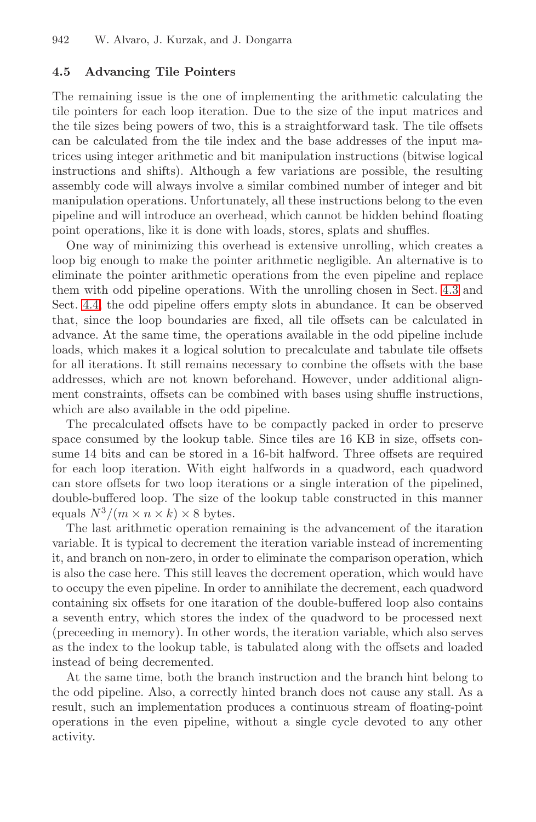#### **4.5 Advancing Tile Pointers**

The remaining issue is the one of implementing the arithmetic calculating the tile pointers for each loop iteration. Due to the size of the input matrices and the tile sizes being powers of two, this is a straightforward task. The tile offsets can be calculated from the tile index and the base addresses of the input matrices using integer arithmetic and bit manipulation instructions (bitwise logical instructions and shifts). Although a few variations are possible, the resulting assembly code will always involve a similar combined number of integer and bit manipulation operations. Unfortunately, all these instructions belong to the even pipeline and will introduce an overhead, which cannot be hidden behind floating point operations, like it is done with loads, stores, splats and shuffles.

One way of minimizing this overhead is extensive unrolling, which creates a loop big enough to make the pointer arithmetic negligible. An alternative is to eliminate the pointer arithmetic operations from the even pipeline and replace them with odd pipeline operations. With the unrolling chosen in Sect. 4.3 and Sect. 4.4, the odd pipeline offers empty slots in abundance. It can be observed that, since the loop boundaries are fixed, all tile offsets can be calculated in advance. At the same time, the operations available in the odd pipeline include loads, which makes it a logical solution to precalculate and tabulate tile offsets for all iterations. It still remains necessary to combine the offsets with the base addresses, which are not known beforehand. However, under additional alignment constraints, offsets can be combined with bases using shuffle instructions, which are also available in the odd pipeline.

The precalculated offsets have to be compactly packed in order to preserve space consumed by the lookup table. Since tiles are 16 KB in size, offsets consume 14 bits and can be stored in a 16-bit halfword. Three offsets are required for each loop iteration. With eight halfwords in a quadword, each quadword can store offsets for two loop iterations or a single interation of the pipelined, double-buffered loop. The size of the lookup table constructed in this manner equals  $N^3/(m \times n \times k) \times 8$  bytes.

The last arithmetic operation remaining is the advancement of the itaration variable. It is typical to decrement the iteration variable instead of incrementing it, and branch on non-zero, in order to eliminate the comparison operation, which is also the case here. This still leaves the decrement operation, which would have to occupy the even pipeline. In order to annihilate the decrement, each quadword containing six offsets for one itaration of the double-buffered loop also contains a seventh entry, which stores the index of the quadword to be processed next (preceeding in memory). In other words, the iteration variable, which also serves as the index to the lookup table, is tabulated along with the offsets and loaded instead of being decremented.

At the same time, both the branch instruction and the branch hint belong to the odd pipeline. Also, a correctly hinted branch does not cause any stall. As a result, such an implementation produces a continuous stream of floating-point operations in the even pipeline, without a single cycle devoted to any other activity.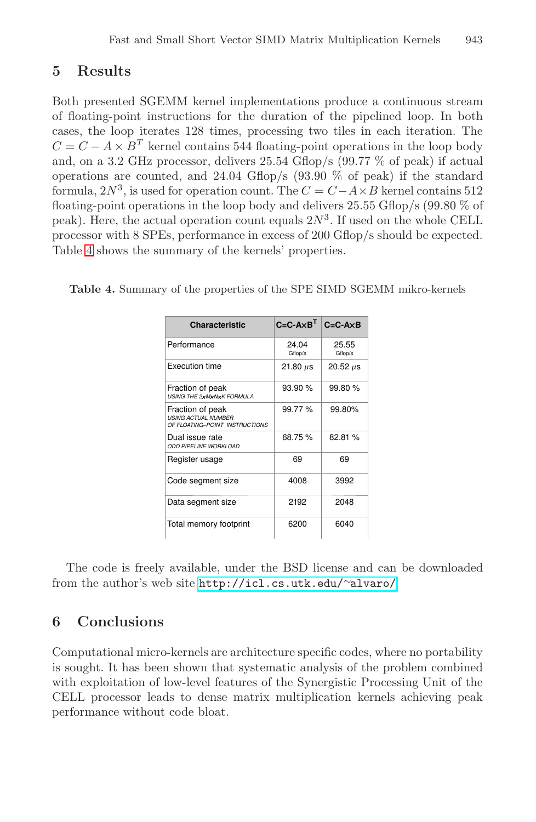## **5 Results**

Both presented SGEMM kernel implementations produce a continuous stream of floating-point instructions for the duration of the pipelined loop. In both cases, the loop iterates 128 times, processing two tiles in each iteration. The  $C = C - A \times B^{T}$  kernel contains 544 floating-point operations in the loop body and, on a 3.2 GHz processor, delivers 25.54 Gflop/s (99.77 % of peak) if actual operations are counted, and 24.04 Gflop/s (93.90 % of peak) if the standard formula,  $2N^3$ , is used for operation count. The  $C = C - A \times B$  kernel contains 512 floating-point operations in the loop body and delivers  $25.55$  Gflop/s (99.80  $\%$  of peak). Here, the actual operation count equals  $2N^3$ . If used on the whole CELL processor with 8 SPEs, performance in excess of 200 Gflop/s should be expected. Table 4 shows the summary of the kernels' properties.

**Table 4.** Summary of the properties of the SPE SIMD SGEMM mikro-kernels

| <b>Characteristic</b>                                                            | $C = C - A \times B^{T}$ | $C=C-A\times B$  |
|----------------------------------------------------------------------------------|--------------------------|------------------|
| Performance                                                                      | 24.04<br>Gflop/s         | 25.55<br>Gflop/s |
| Execution time                                                                   | 21.80 $\mu$ s            | $20.52 \,\mu s$  |
| Fraction of peak<br><b>USING THE 2xMxNxK FORMULA</b>                             | 93.90%                   | 99.80%           |
| Fraction of peak<br><b>USING ACTUAL NUMBER</b><br>OF FLOATING-POINT INSTRUCTIONS | 99.77%                   | 99.80%           |
| Dual issue rate<br>ODD PIPELINE WORKLOAD                                         | 68.75%                   | 82.81%           |
| Register usage                                                                   | 69                       | 69               |
| Code segment size                                                                | 4008                     | 3992             |
| Data segment size                                                                | 2192                     | 2048             |
| Total memory footprint                                                           | 6200                     | 6040             |

The code is freely available, under the BSD license and can be downloaded from the author's web site http://icl.cs.utk.edu/∼alvaro/.

### **6 Conclusions**

Computational micro-kernels are architecture specific codes, where no portability is sought. It has been shown that systematic analysis of the problem combined with exploitation of low-level features of the Synergistic Processing Unit of the CELL processor leads to dense matrix multiplication kernels achieving peak performance without code bloat.